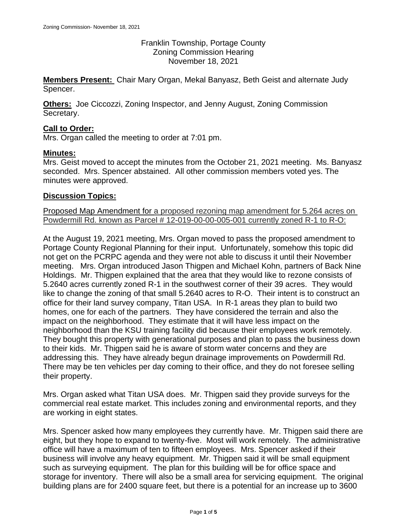Franklin Township, Portage County Zoning Commission Hearing November 18, 2021

**Members Present:** Chair Mary Organ, Mekal Banyasz, Beth Geist and alternate Judy Spencer.

**Others:** Joe Ciccozzi, Zoning Inspector, and Jenny August, Zoning Commission Secretary.

## **Call to Order:**

Mrs. Organ called the meeting to order at 7:01 pm.

#### **Minutes:**

Mrs. Geist moved to accept the minutes from the October 21, 2021 meeting. Ms. Banyasz seconded. Mrs. Spencer abstained. All other commission members voted yes. The minutes were approved.

#### **Discussion Topics:**

Proposed Map Amendment for a proposed rezoning map amendment for 5.264 acres on Powdermill Rd. known as Parcel # 12-019-00-00-005-001 currently zoned R-1 to R-O:

At the August 19, 2021 meeting, Mrs. Organ moved to pass the proposed amendment to Portage County Regional Planning for their input. Unfortunately, somehow this topic did not get on the PCRPC agenda and they were not able to discuss it until their November meeting. Mrs. Organ introduced Jason Thigpen and Michael Kohn, partners of Back Nine Holdings. Mr. Thigpen explained that the area that they would like to rezone consists of 5.2640 acres currently zoned R-1 in the southwest corner of their 39 acres. They would like to change the zoning of that small 5.2640 acres to R-O. Their intent is to construct an office for their land survey company, Titan USA. In R-1 areas they plan to build two homes, one for each of the partners. They have considered the terrain and also the impact on the neighborhood. They estimate that it will have less impact on the neighborhood than the KSU training facility did because their employees work remotely. They bought this property with generational purposes and plan to pass the business down to their kids. Mr. Thigpen said he is aware of storm water concerns and they are addressing this. They have already begun drainage improvements on Powdermill Rd. There may be ten vehicles per day coming to their office, and they do not foresee selling their property.

Mrs. Organ asked what Titan USA does. Mr. Thigpen said they provide surveys for the commercial real estate market. This includes zoning and environmental reports, and they are working in eight states.

Mrs. Spencer asked how many employees they currently have. Mr. Thigpen said there are eight, but they hope to expand to twenty-five. Most will work remotely. The administrative office will have a maximum of ten to fifteen employees. Mrs. Spencer asked if their business will involve any heavy equipment. Mr. Thigpen said it will be small equipment such as surveying equipment. The plan for this building will be for office space and storage for inventory. There will also be a small area for servicing equipment. The original building plans are for 2400 square feet, but there is a potential for an increase up to 3600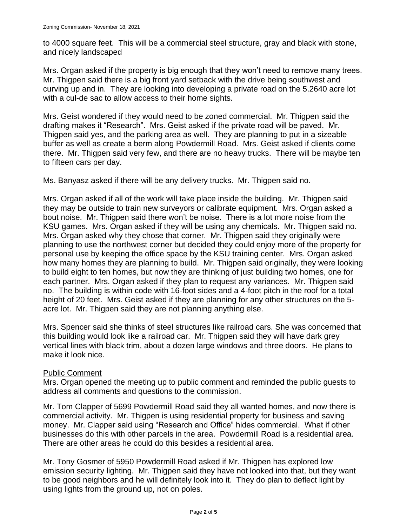to 4000 square feet. This will be a commercial steel structure, gray and black with stone, and nicely landscaped

Mrs. Organ asked if the property is big enough that they won't need to remove many trees. Mr. Thigpen said there is a big front yard setback with the drive being southwest and curving up and in. They are looking into developing a private road on the 5.2640 acre lot with a cul-de sac to allow access to their home sights.

Mrs. Geist wondered if they would need to be zoned commercial. Mr. Thigpen said the drafting makes it "Research". Mrs. Geist asked if the private road will be paved. Mr. Thigpen said yes, and the parking area as well. They are planning to put in a sizeable buffer as well as create a berm along Powdermill Road. Mrs. Geist asked if clients come there. Mr. Thigpen said very few, and there are no heavy trucks. There will be maybe ten to fifteen cars per day.

Ms. Banyasz asked if there will be any delivery trucks. Mr. Thigpen said no.

Mrs. Organ asked if all of the work will take place inside the building. Mr. Thigpen said they may be outside to train new surveyors or calibrate equipment. Mrs. Organ asked a bout noise. Mr. Thigpen said there won't be noise. There is a lot more noise from the KSU games. Mrs. Organ asked if they will be using any chemicals. Mr. Thigpen said no. Mrs. Organ asked why they chose that corner. Mr. Thigpen said they originally were planning to use the northwest corner but decided they could enjoy more of the property for personal use by keeping the office space by the KSU training center. Mrs. Organ asked how many homes they are planning to build. Mr. Thigpen said originally, they were looking to build eight to ten homes, but now they are thinking of just building two homes, one for each partner. Mrs. Organ asked if they plan to request any variances. Mr. Thigpen said no. The building is within code with 16-foot sides and a 4-foot pitch in the roof for a total height of 20 feet. Mrs. Geist asked if they are planning for any other structures on the 5 acre lot. Mr. Thigpen said they are not planning anything else.

Mrs. Spencer said she thinks of steel structures like railroad cars. She was concerned that this building would look like a railroad car. Mr. Thigpen said they will have dark grey vertical lines with black trim, about a dozen large windows and three doors. He plans to make it look nice.

#### Public Comment

Mrs. Organ opened the meeting up to public comment and reminded the public guests to address all comments and questions to the commission.

Mr. Tom Clapper of 5699 Powdermill Road said they all wanted homes, and now there is commercial activity. Mr. Thigpen is using residential property for business and saving money. Mr. Clapper said using "Research and Office" hides commercial. What if other businesses do this with other parcels in the area. Powdermill Road is a residential area. There are other areas he could do this besides a residential area.

Mr. Tony Gosmer of 5950 Powdermill Road asked if Mr. Thigpen has explored low emission security lighting. Mr. Thigpen said they have not looked into that, but they want to be good neighbors and he will definitely look into it. They do plan to deflect light by using lights from the ground up, not on poles.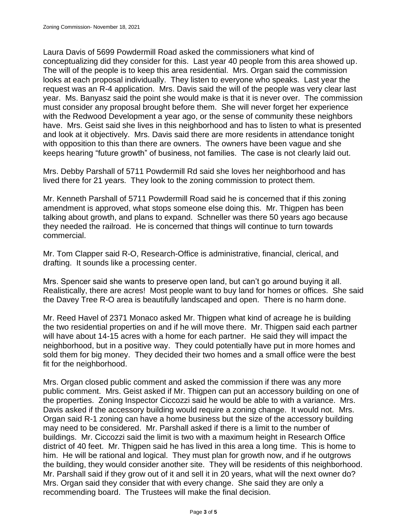Laura Davis of 5699 Powdermill Road asked the commissioners what kind of conceptualizing did they consider for this. Last year 40 people from this area showed up. The will of the people is to keep this area residential. Mrs. Organ said the commission looks at each proposal individually. They listen to everyone who speaks. Last year the request was an R-4 application. Mrs. Davis said the will of the people was very clear last year. Ms. Banyasz said the point she would make is that it is never over. The commission must consider any proposal brought before them. She will never forget her experience with the Redwood Development a year ago, or the sense of community these neighbors have. Mrs. Geist said she lives in this neighborhood and has to listen to what is presented and look at it objectively. Mrs. Davis said there are more residents in attendance tonight with opposition to this than there are owners. The owners have been vague and she keeps hearing "future growth" of business, not families. The case is not clearly laid out.

Mrs. Debby Parshall of 5711 Powdermill Rd said she loves her neighborhood and has lived there for 21 years. They look to the zoning commission to protect them.

Mr. Kenneth Parshall of 5711 Powdermill Road said he is concerned that if this zoning amendment is approved, what stops someone else doing this. Mr. Thigpen has been talking about growth, and plans to expand. Schneller was there 50 years ago because they needed the railroad. He is concerned that things will continue to turn towards commercial.

Mr. Tom Clapper said R-O, Research-Office is administrative, financial, clerical, and drafting. It sounds like a processing center.

Mrs. Spencer said she wants to preserve open land, but can't go around buying it all. Realistically, there are acres! Most people want to buy land for homes or offices. She said the Davey Tree R-O area is beautifully landscaped and open. There is no harm done.

Mr. Reed Havel of 2371 Monaco asked Mr. Thigpen what kind of acreage he is building the two residential properties on and if he will move there. Mr. Thigpen said each partner will have about 14-15 acres with a home for each partner. He said they will impact the neighborhood, but in a positive way. They could potentially have put in more homes and sold them for big money. They decided their two homes and a small office were the best fit for the neighborhood.

Mrs. Organ closed public comment and asked the commission if there was any more public comment. Mrs. Geist asked if Mr. Thigpen can put an accessory building on one of the properties. Zoning Inspector Ciccozzi said he would be able to with a variance. Mrs. Davis asked if the accessory building would require a zoning change. It would not. Mrs. Organ said R-1 zoning can have a home business but the size of the accessory building may need to be considered. Mr. Parshall asked if there is a limit to the number of buildings. Mr. Ciccozzi said the limit is two with a maximum height in Research Office district of 40 feet. Mr. Thigpen said he has lived in this area a long time. This is home to him. He will be rational and logical. They must plan for growth now, and if he outgrows the building, they would consider another site. They will be residents of this neighborhood. Mr. Parshall said if they grow out of it and sell it in 20 years, what will the next owner do? Mrs. Organ said they consider that with every change. She said they are only a recommending board. The Trustees will make the final decision.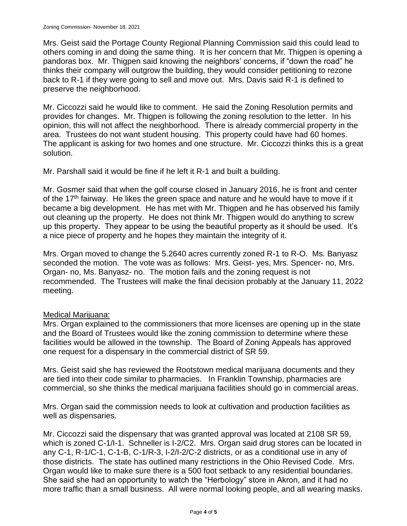Mrs. Geist said the Portage County Regional Planning Commission said this could lead to others coming in and doing the same thing. It is her concern that Mr. Thigpen is opening a pandoras box. Mr. Thigpen said knowing the neighbors' concerns, if "down the road" he thinks their company will outgrow the building, they would consider petitioning to rezone back to R-1 if they were going to sell and move out. Mrs. Davis said R-1 is defined to preserve the neighborhood.

Mr. Ciccozzi said he would like to comment. He said the Zoning Resolution permits and provides for changes. Mr. Thigpen is following the zoning resolution to the letter. In his opinion, this will not affect the neighborhood. There is already commercial property in the area. Trustees do not want student housing. This property could have had 60 homes. The applicant is asking for two homes and one structure. Mr. Ciccozzi thinks this is a great solution.

Mr. Parshall said it would be fine if he left it R-1 and built a building.

Mr. Gosmer said that when the golf course closed in January 2016, he is front and center of the 17<sup>th</sup> fairway. He likes the green space and nature and he would have to move if it became a big development. He has met with Mr. Thigpen and he has observed his family out cleaning up the property. He does not think Mr. Thigpen would do anything to screw up this property. They appear to be using the beautiful property as it should be used. It's a nice piece of property and he hopes they maintain the integrity of it.

Mrs. Organ moved to change the 5.2640 acres currently zoned R-1 to R-O. Ms. Banyasz seconded the motion. The vote was as follows: Mrs. Geist- yes, Mrs. Spencer- no, Mrs. Organ- no, Ms. Banyasz- no. The motion fails and the zoning request is not recommended. The Trustees will make the final decision probably at the January 11, 2022 meeting.

# Medical Marijuana:

Mrs. Organ explained to the commissioners that more licenses are opening up in the state and the Board of Trustees would like the zoning commission to determine where these facilities would be allowed in the township. The Board of Zoning Appeals has approved one request for a dispensary in the commercial district of SR 59.

Mrs. Geist said she has reviewed the Rootstown medical marijuana documents and they are tied into their code similar to pharmacies. In Franklin Township, pharmacies are commercial, so she thinks the medical marijuana facilities should go in commercial areas.

Mrs. Organ said the commission needs to look at cultivation and production facilities as well as dispensaries.

Mr. Ciccozzi said the dispensary that was granted approval was located at 2108 SR 59, which is zoned C-1/I-1. Schneller is I-2/C2. Mrs. Organ said drug stores can be located in any C-1, R-1/C-1, C-1-B, C-1/R-3, I-2/I-2/C-2 districts, or as a conditional use in any of those districts. The state has outlined many restrictions in the Ohio Revised Code. Mrs. Organ would like to make sure there is a 500 foot setback to any residential boundaries. She said she had an opportunity to watch the "Herbology" store in Akron, and it had no more traffic than a small business. All were normal looking people, and all wearing masks.